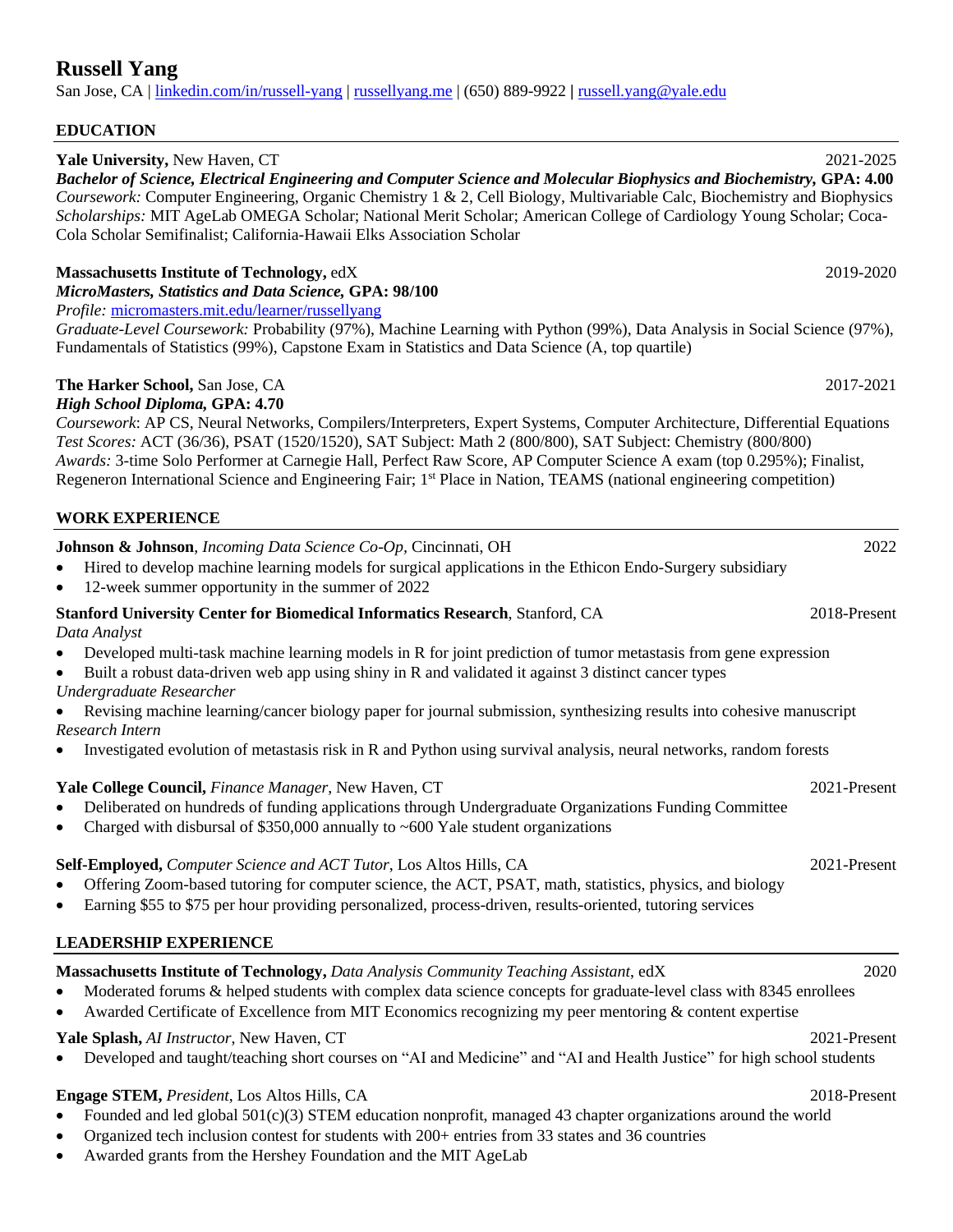# **Russell Yang**

San Jose, CA [| linkedin.com/in/russell-yang](https://www.linkedin.com/in/russell-yang/) | [russellyang.me](https://russellyang.me/) | (650) 889-9922 **|** [russell.yang@yale.edu](mailto:russell.yang@yale.edu)

#### **EDUCATION**

#### **Yale University,** New Haven, CT 2021-2025

*Bachelor of Science, Electrical Engineering and Computer Science and Molecular Biophysics and Biochemistry,* **GPA: 4.00** *Coursework:* Computer Engineering, Organic Chemistry 1 & 2, Cell Biology, Multivariable Calc, Biochemistry and Biophysics *Scholarships:* MIT AgeLab OMEGA Scholar; National Merit Scholar; American College of Cardiology Young Scholar; Coca-Cola Scholar Semifinalist; California-Hawaii Elks Association Scholar

#### **Massachusetts Institute of Technology, edX** 2019-2020

*MicroMasters, Statistics and Data Science,* **GPA: 98/100**

*Profile:* [micromasters.mit.edu/learner/russellyang](https://micromasters.mit.edu/learner/russellyang)

*Graduate-Level Coursework:* Probability (97%), Machine Learning with Python (99%), Data Analysis in Social Science (97%), Fundamentals of Statistics (99%), Capstone Exam in Statistics and Data Science (A, top quartile)

### **The Harker School,** San Jose, CA 2017-2021

#### *High School Diploma,* **GPA: 4.70**

*Coursework*: AP CS, Neural Networks, Compilers/Interpreters, Expert Systems, Computer Architecture, Differential Equations *Test Scores:* ACT (36/36), PSAT (1520/1520), SAT Subject: Math 2 (800/800), SAT Subject: Chemistry (800/800) *Awards:* 3-time Solo Performer at Carnegie Hall, Perfect Raw Score, AP Computer Science A exam (top 0.295%); Finalist, Regeneron International Science and Engineering Fair; 1<sup>st</sup> Place in Nation, TEAMS (national engineering competition)

#### **WORK EXPERIENCE**

# **Johnson & Johnson**, *Incoming Data Science Co-Op,* Cincinnati, OH 2022

- Hired to develop machine learning models for surgical applications in the Ethicon Endo-Surgery subsidiary
- 12-week summer opportunity in the summer of 2022

### **Stanford University Center for Biomedical Informatics Research**, Stanford, CA 2018-Present *Data Analyst*

- Developed multi-task machine learning models in R for joint prediction of tumor metastasis from gene expression
- Built a robust data-driven web app using shiny in R and validated it against 3 distinct cancer types
- *Undergraduate Researcher*
- Revising machine learning/cancer biology paper for journal submission, synthesizing results into cohesive manuscript *Research Intern*
- Investigated evolution of metastasis risk in R and Python using survival analysis, neural networks, random forests

#### **Yale College Council,** *Finance Manager*, New Haven, CT 2021-Present

- Deliberated on hundreds of funding applications through Undergraduate Organizations Funding Committee
- Charged with disbursal of \$350,000 annually to ~600 Yale student organizations

#### **Self-Employed,** *Computer Science and ACT Tutor*, Los Altos Hills, CA 2021-Present

- Offering Zoom-based tutoring for computer science, the ACT, PSAT, math, statistics, physics, and biology
- Earning \$55 to \$75 per hour providing personalized, process-driven, results-oriented, tutoring services

## **LEADERSHIP EXPERIENCE**

# **Massachusetts Institute of Technology,** *Data Analysis Community Teaching Assistant*, edX 2020

- Moderated forums & helped students with complex data science concepts for graduate-level class with 8345 enrollees
- Awarded Certificate of Excellence from MIT Economics recognizing my peer mentoring & content expertise

#### **Yale Splash,** *AI Instructor*, New Haven, CT 2021-Present

• Developed and taught/teaching short courses on "AI and Medicine" and "AI and Health Justice" for high school students

#### **Engage STEM,** *President*, Los Altos Hills, CA 2018-Present

- Founded and led global 501(c)(3) STEM education nonprofit, managed 43 chapter organizations around the world
- Organized tech inclusion contest for students with 200+ entries from 33 states and 36 countries
- Awarded grants from the Hershey Foundation and the MIT AgeLab